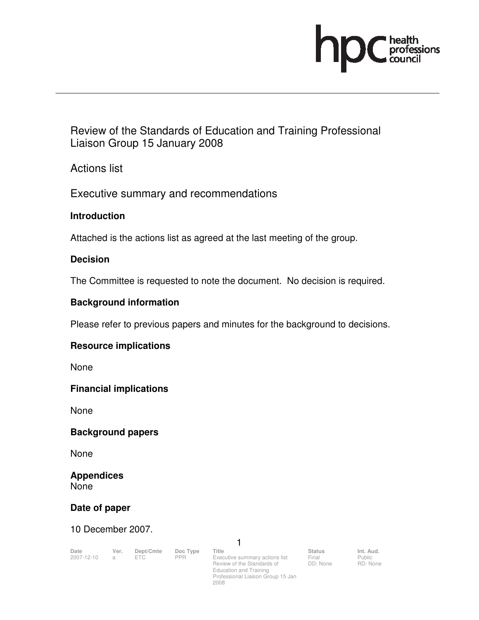

Review of the Standards of Education and Training Professional Liaison Group 15 January 2008

Actions list

Executive summary and recommendations

# **Introduction**

Attached is the actions list as agreed at the last meeting of the group.

#### **Decision**

The Committee is requested to note the document. No decision is required.

# **Background information**

Please refer to previous papers and minutes for the background to decisions.

# **Resource implications**

None

#### **Financial implications**

None

# **Background papers**

None

#### **Appendices**  None

# **Date of paper**

10 December 2007.

| Date         | Ver. | Dept/Cmte Doc Type Title |                                | <b>Status</b> | Int. Aud. |
|--------------|------|--------------------------|--------------------------------|---------------|-----------|
| 2007-12-10 a |      | <b>PPR</b>               | Executive summary actions list | Final         | Public    |

1

Executive summary actions list<br>Review of the Standards of Review of the Standards of Education and Training Professional Liaison Group 15 Jan 2008

Final DD: None Public RD: None